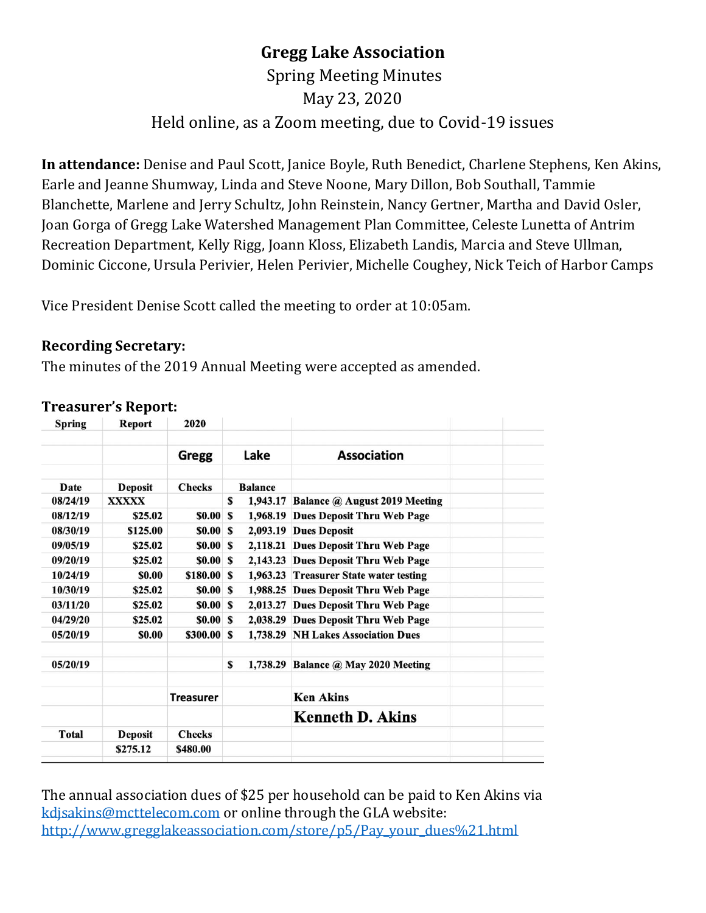# **Gregg Lake Association**

# Spring Meeting Minutes May 23, 2020 Held online, as a Zoom meeting, due to Covid-19 issues

**In attendance:** Denise and Paul Scott, Janice Boyle, Ruth Benedict, Charlene Stephens, Ken Akins, Earle and Jeanne Shumway, Linda and Steve Noone, Mary Dillon, Bob Southall, Tammie Blanchette, Marlene and Jerry Schultz, John Reinstein, Nancy Gertner, Martha and David Osler, Joan Gorga of Gregg Lake Watershed Management Plan Committee, Celeste Lunetta of Antrim Recreation Department, Kelly Rigg, Joann Kloss, Elizabeth Landis, Marcia and Steve Ullman, Dominic Ciccone, Ursula Perivier, Helen Perivier, Michelle Coughey, Nick Teich of Harbor Camps

Vice President Denise Scott called the meeting to order at 10:05am.

#### **Recording Secretary:**

The minutes of the 2019 Annual Meeting were accepted as amended.

| <b>Spring</b> | <b>Report</b>  | 2020             |   |                |                                        |  |
|---------------|----------------|------------------|---|----------------|----------------------------------------|--|
|               |                | Gregg            |   | Lake           | <b>Association</b>                     |  |
| Date          | <b>Deposit</b> | <b>Checks</b>    |   | <b>Balance</b> |                                        |  |
| 08/24/19      | <b>XXXXX</b>   |                  | S |                | 1,943.17 Balance @ August 2019 Meeting |  |
| 08/12/19      | \$25.02        | \$0.00           | S |                | 1,968.19 Dues Deposit Thru Web Page    |  |
| 08/30/19      | \$125.00       | \$0.00S          |   |                | 2,093.19 Dues Deposit                  |  |
| 09/05/19      | \$25.02        | \$0.00S          |   |                | 2,118.21 Dues Deposit Thru Web Page    |  |
| 09/20/19      | \$25.02        | \$0.00S          |   |                | 2,143.23 Dues Deposit Thru Web Page    |  |
| 10/24/19      | \$0.00         | \$180.00 \$      |   |                | 1,963.23 Treasurer State water testing |  |
| 10/30/19      | \$25.02        | \$0.00S          |   |                | 1,988.25 Dues Deposit Thru Web Page    |  |
| 03/11/20      | \$25.02        | \$0.00S          |   |                | 2,013.27 Dues Deposit Thru Web Page    |  |
| 04/29/20      | \$25.02        | \$0.00S          |   |                | 2,038.29 Dues Deposit Thru Web Page    |  |
| 05/20/19      | \$0.00         | \$300.00 \$      |   |                | 1,738.29 NH Lakes Association Dues     |  |
| 05/20/19      |                |                  | S |                | 1,738.29 Balance @ May 2020 Meeting    |  |
|               |                | <b>Treasurer</b> |   |                | <b>Ken Akins</b>                       |  |
|               |                |                  |   |                | <b>Kenneth D. Akins</b>                |  |
| Total         | <b>Deposit</b> | <b>Checks</b>    |   |                |                                        |  |
|               | \$275.12       | \$480.00         |   |                |                                        |  |
|               |                |                  |   |                |                                        |  |

#### **Treasurer's Report:**

The annual association dues of \$25 per household can be paid to Ken Akins via [kdjsakins@mcttelecom.com](mailto:kdjsakins@mcttelecom.com) or online through the GLA website: [http://www.gregglakeassociation.com/store/p5/Pay\\_your\\_dues%21.html](http://www.gregglakeassociation.com/store/p5/Pay_your_dues%21.html)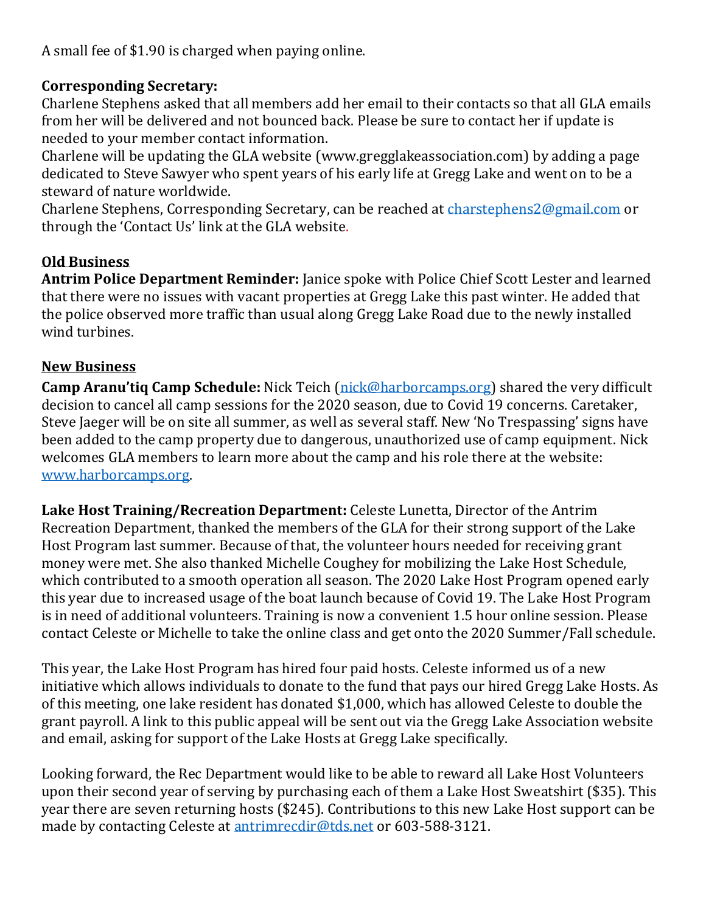A small fee of \$1.90 is charged when paying online.

#### **Corresponding Secretary:**

Charlene Stephens asked that all members add her email to their contacts so that all GLA emails from her will be delivered and not bounced back. Please be sure to contact her if update is needed to your member contact information.

Charlene will be updating the GLA website (www.gregglakeassociation.com) by adding a page dedicated to Steve Sawyer who spent years of his early life at Gregg Lake and went on to be a steward of nature worldwide.

Charlene Stephens, Corresponding Secretary, can be reached at [charstephens2@gmail.com](mailto:charstephens2@gmail.com) or through the 'Contact Us' link at the GLA website.

#### **Old Business**

**Antrim Police Department Reminder:** Janice spoke with Police Chief Scott Lester and learned that there were no issues with vacant properties at Gregg Lake this past winter. He added that the police observed more traffic than usual along Gregg Lake Road due to the newly installed wind turbines.

#### **New Business**

**Camp Aranu'tiq Camp Schedule:** Nick Teich [\(nick@harborcamps.org\)](mailto:nick@harborcamps.org) shared the very difficult decision to cancel all camp sessions for the 2020 season, due to Covid 19 concerns. Caretaker, Steve Jaeger will be on site all summer, as well as several staff. New 'No Trespassing' signs have been added to the camp property due to dangerous, unauthorized use of camp equipment. Nick welcomes GLA members to learn more about the camp and his role there at the website: [www.harborcamps.org.](http://www.harborcamps.org/)

**Lake Host Training/Recreation Department:** Celeste Lunetta, Director of the Antrim Recreation Department, thanked the members of the GLA for their strong support of the Lake Host Program last summer. Because of that, the volunteer hours needed for receiving grant money were met. She also thanked Michelle Coughey for mobilizing the Lake Host Schedule, which contributed to a smooth operation all season. The 2020 Lake Host Program opened early this year due to increased usage of the boat launch because of Covid 19. The Lake Host Program is in need of additional volunteers. Training is now a convenient 1.5 hour online session. Please contact Celeste or Michelle to take the online class and get onto the 2020 Summer/Fall schedule.

This year, the Lake Host Program has hired four paid hosts. Celeste informed us of a new initiative which allows individuals to donate to the fund that pays our hired Gregg Lake Hosts. As of this meeting, one lake resident has donated \$1,000, which has allowed Celeste to double the grant payroll. A link to this public appeal will be sent out via the Gregg Lake Association website and email, asking for support of the Lake Hosts at Gregg Lake specifically.

Looking forward, the Rec Department would like to be able to reward all Lake Host Volunteers upon their second year of serving by purchasing each of them a Lake Host Sweatshirt (\$35). This year there are seven returning hosts (\$245). Contributions to this new Lake Host support can be made by contacting Celeste at [antrimrecdir@tds.net](mailto:antrimrecdir@tds.net) or 603-588-3121.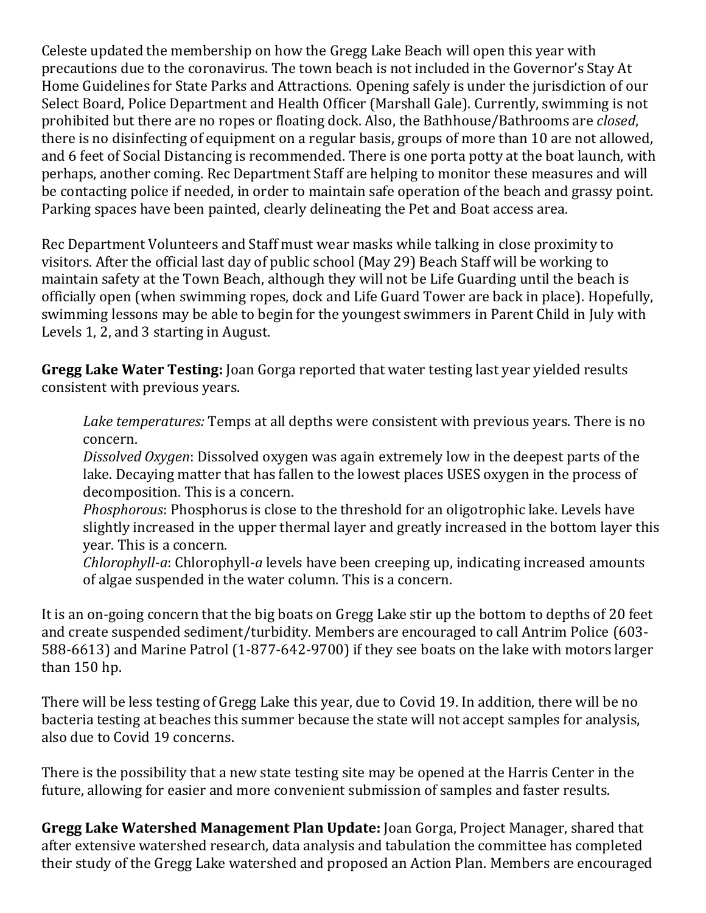Celeste updated the membership on how the Gregg Lake Beach will open this year with precautions due to the coronavirus. The town beach is not included in the Governor's Stay At Home Guidelines for State Parks and Attractions. Opening safely is under the jurisdiction of our Select Board, Police Department and Health Officer (Marshall Gale). Currently, swimming is not prohibited but there are no ropes or floating dock. Also, the Bathhouse/Bathrooms are *closed*, there is no disinfecting of equipment on a regular basis, groups of more than 10 are not allowed, and 6 feet of Social Distancing is recommended. There is one porta potty at the boat launch, with perhaps, another coming. Rec Department Staff are helping to monitor these measures and will be contacting police if needed, in order to maintain safe operation of the beach and grassy point. Parking spaces have been painted, clearly delineating the Pet and Boat access area.

Rec Department Volunteers and Staff must wear masks while talking in close proximity to visitors. After the official last day of public school (May 29) Beach Staff will be working to maintain safety at the Town Beach, although they will not be Life Guarding until the beach is officially open (when swimming ropes, dock and Life Guard Tower are back in place). Hopefully, swimming lessons may be able to begin for the youngest swimmers in Parent Child in July with Levels 1, 2, and 3 starting in August.

**Gregg Lake Water Testing:** Joan Gorga reported that water testing last year yielded results consistent with previous years.

*Lake temperatures:* Temps at all depths were consistent with previous years. There is no concern.

*Dissolved Oxygen*: Dissolved oxygen was again extremely low in the deepest parts of the lake. Decaying matter that has fallen to the lowest places USES oxygen in the process of decomposition. This is a concern.

*Phosphorous*: Phosphorus is close to the threshold for an oligotrophic lake. Levels have slightly increased in the upper thermal layer and greatly increased in the bottom layer this year. This is a concern.

*Chlorophyll-a*: Chlorophyll-*a* levels have been creeping up, indicating increased amounts of algae suspended in the water column. This is a concern.

It is an on-going concern that the big boats on Gregg Lake stir up the bottom to depths of 20 feet and create suspended sediment/turbidity. Members are encouraged to call Antrim Police (603- 588-6613) and Marine Patrol (1-877-642-9700) if they see boats on the lake with motors larger than 150 hp.

There will be less testing of Gregg Lake this year, due to Covid 19. In addition, there will be no bacteria testing at beaches this summer because the state will not accept samples for analysis, also due to Covid 19 concerns.

There is the possibility that a new state testing site may be opened at the Harris Center in the future, allowing for easier and more convenient submission of samples and faster results.

**Gregg Lake Watershed Management Plan Update:** Joan Gorga, Project Manager, shared that after extensive watershed research, data analysis and tabulation the committee has completed their study of the Gregg Lake watershed and proposed an Action Plan. Members are encouraged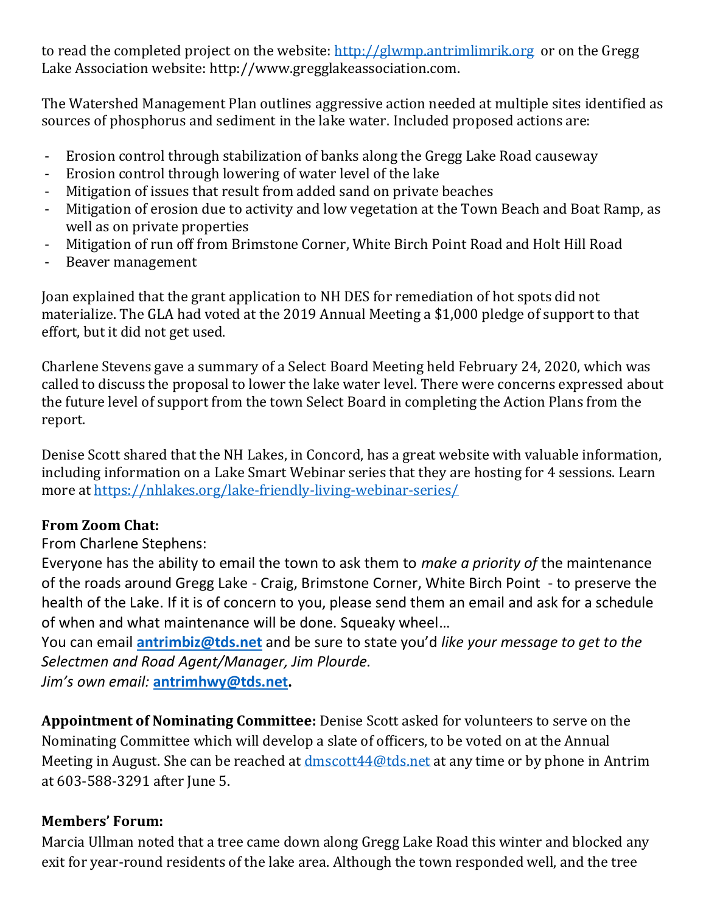to read the completed project on the website: [http://glwmp.antrimlimrik.org](http://glwmp.antrimlimrik.org/) or on the Gregg Lake Association website: http://www.gregglakeassociation.com.

The Watershed Management Plan outlines aggressive action needed at multiple sites identified as sources of phosphorus and sediment in the lake water. Included proposed actions are:

- Erosion control through stabilization of banks along the Gregg Lake Road causeway
- Erosion control through lowering of water level of the lake
- Mitigation of issues that result from added sand on private beaches
- Mitigation of erosion due to activity and low vegetation at the Town Beach and Boat Ramp, as well as on private properties
- Mitigation of run off from Brimstone Corner, White Birch Point Road and Holt Hill Road
- Beaver management

Joan explained that the grant application to NH DES for remediation of hot spots did not materialize. The GLA had voted at the 2019 Annual Meeting a \$1,000 pledge of support to that effort, but it did not get used.

Charlene Stevens gave a summary of a Select Board Meeting held February 24, 2020, which was called to discuss the proposal to lower the lake water level. There were concerns expressed about the future level of support from the town Select Board in completing the Action Plans from the report.

Denise Scott shared that the NH Lakes, in Concord, has a great website with valuable information, including information on a Lake Smart Webinar series that they are hosting for 4 sessions. Learn more at<https://nhlakes.org/lake-friendly-living-webinar-series/>

## **From Zoom Chat:**

## From Charlene Stephens:

Everyone has the ability to email the town to ask them to *make a priority of* the maintenance of the roads around Gregg Lake - Craig, Brimstone Corner, White Birch Point - to preserve the health of the Lake. If it is of concern to you, please send them an email and ask for a schedule of when and what maintenance will be done. Squeaky wheel…

You can email **[antrimbiz@tds.net](mailto:antrimbiz@tds.net)** and be sure to state you'd *like your message to get to the Selectmen and Road Agent/Manager, Jim Plourde.* 

*Jim's own email:* **[antrimhwy@tds.net.](mailto:antrimhwy@tds.net)**

**Appointment of Nominating Committee:** Denise Scott asked for volunteers to serve on the Nominating Committee which will develop a slate of officers, to be voted on at the Annual Meeting in August. She can be reached at dmscott 44@tds.net at any time or by phone in Antrim at 603-588-3291 after June 5.

## **Members' Forum:**

Marcia Ullman noted that a tree came down along Gregg Lake Road this winter and blocked any exit for year-round residents of the lake area. Although the town responded well, and the tree